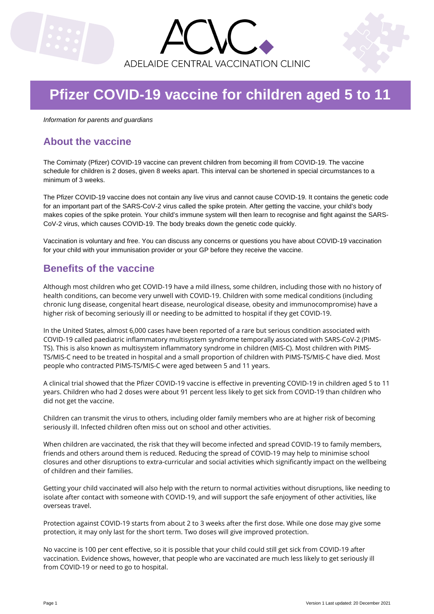



# **Pfizer COVID-19 vaccine for children aged 5 to 11**

*Information for parents and guardians*

# **About the vaccine**

The Comirnaty (Pfizer) COVID-19 vaccine can prevent children from becoming ill from COVID-19. The vaccine schedule for children is 2 doses, given 8 weeks apart. This interval can be shortened in special circumstances to a minimum of 3 weeks.

The Pfizer COVID-19 vaccine does not contain any live virus and cannot cause COVID-19. It contains the genetic code for an important part of the SARS-CoV-2 virus called the spike protein. After getting the vaccine, your child's body makes copies of the spike protein. Your child's immune system will then learn to recognise and fight against the SARS-CoV-2 virus, which causes COVID-19. The body breaks down the genetic code quickly.

Vaccination is voluntary and free. You can discuss any concerns or questions you have about COVID-19 vaccination for your child with your immunisation provider or your GP before they receive the vaccine.

# **Benefits of the vaccine**

Although most children who get COVID-19 have a mild illness, some children, including those with no history of health conditions, can become very unwell with COVID-19. Children with some medical conditions (including chronic lung disease, congenital heart disease, neurological disease, obesity and immunocompromise) have a higher risk of becoming seriously ill or needing to be admitted to hospital if they get COVID-19.

In the United States, almost 6,000 cases have been reported of a rare but serious condition associated with COVID-19 called paediatric inflammatory multisystem syndrome temporally associated with SARS-CoV-2 (PIMS-TS). This is also known as multisystem inflammatory syndrome in children (MIS-C). Most children with PIMS-TS/MIS-C need to be treated in hospital and a small proportion of children with PIMS-TS/MIS-C have died. Most people who contracted PIMS-TS/MIS-C were aged between 5 and 11 years.

A clinical trial showed that the Pfizer COVID-19 vaccine is effective in preventing COVID-19 in children aged 5 to 11 years. Children who had 2 doses were about 91 percent less likely to get sick from COVID-19 than children who did not get the vaccine.

Children can transmit the virus to others, including older family members who are at higher risk of becoming seriously ill. Infected children often miss out on school and other activities.

When children are vaccinated, the risk that they will become infected and spread COVID-19 to family members, friends and others around them is reduced. Reducing the spread of COVID-19 may help to minimise school closures and other disruptions to extra-curricular and social activities which significantly impact on the wellbeing of children and their families.

Getting your child vaccinated will also help with the return to normal activities without disruptions, like needing to isolate after contact with someone with COVID-19, and will support the safe enjoyment of other activities, like overseas travel.

Protection against COVID-19 starts from about 2 to 3 weeks after the first dose. While one dose may give some protection, it may only last for the short term. Two doses will give improved protection.

No vaccine is 100 per cent effective, so it is possible that your child could still get sick from COVID-19 after vaccination. Evidence shows, however, that people who are vaccinated are much less likely to get seriously ill from COVID-19 or need to go to hospital.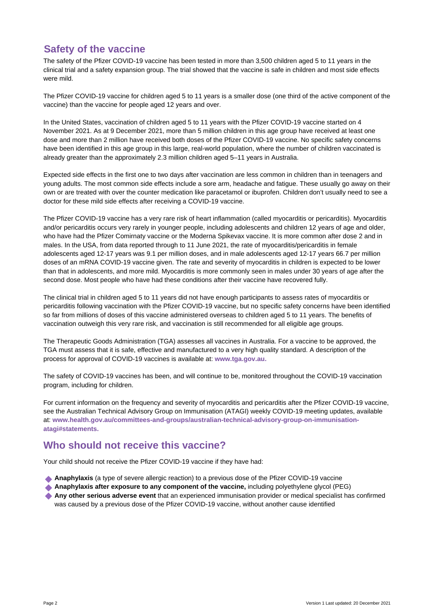# **Safety of the vaccine**

The safety of the Pfizer COVID-19 vaccine has been tested in more than 3,500 children aged 5 to 11 years in the clinical trial and a safety expansion group. The trial showed that the vaccine is safe in children and most side effects were mild.

The Pfizer COVID-19 vaccine for children aged 5 to 11 years is a smaller dose (one third of the active component of the vaccine) than the vaccine for people aged 12 years and over.

In the United States, vaccination of children aged 5 to 11 years with the Pfizer COVID-19 vaccine started on 4 November 2021. As at 9 December 2021, more than 5 million children in this age group have received at least one dose and more than 2 million have received both doses of the Pfizer COVID-19 vaccine. No specific safety concerns have been identified in this age group in this large, real-world population, where the number of children vaccinated is already greater than the approximately 2.3 million children aged 5–11 years in Australia.

Expected side effects in the first one to two days after vaccination are less common in children than in teenagers and young adults. The most common side effects include a sore arm, headache and fatigue. These usually go away on their own or are treated with over the counter medication like paracetamol or ibuprofen. Children don't usually need to see a doctor for these mild side effects after receiving a COVID-19 vaccine.

The Pfizer COVID-19 vaccine has a very rare risk of heart inflammation (called myocarditis or pericarditis). Myocarditis and/or pericarditis occurs very rarely in younger people, including adolescents and children 12 years of age and older, who have had the Pfizer Comirnaty vaccine or the Moderna Spikevax vaccine. It is more common after dose 2 and in males. In the USA, from data reported through to 11 June 2021, the rate of myocarditis/pericarditis in female adolescents aged 12-17 years was 9.1 per million doses, and in male adolescents aged 12-17 years 66.7 per million doses of an mRNA COVID-19 vaccine given. The rate and severity of myocarditis in children is expected to be lower than that in adolescents, and more mild. Myocarditis is more commonly seen in males under 30 years of age after the second dose. Most people who have had these conditions after their vaccine have recovered fully.

The clinical trial in children aged 5 to 11 years did not have enough participants to assess rates of myocarditis or pericarditis following vaccination with the Pfizer COVID-19 vaccine, but no specific safety concerns have been identified so far from millions of doses of this vaccine administered overseas to children aged 5 to 11 years. The benefits of vaccination outweigh this very rare risk, and vaccination is still recommended for all eligible age groups.

The Therapeutic Goods Administration (TGA) assesses all vaccines in Australia. For a vaccine to be approved, the TGA must assess that it is safe, effective and manufactured to a very high quality standard. A description of the process for approval of COVID-19 vaccines is available at: **www.tga.gov.au.**

The safety of COVID-19 vaccines has been, and will continue to be, monitored throughout the COVID-19 vaccination program, including for children.

For current information on the frequency and severity of myocarditis and pericarditis after the Pfizer COVID-19 vaccine, see the Australian Technical Advisory Group on Immunisation (ATAGI) weekly COVID-19 meeting updates, available at: **www.health.gov.au/committees-and-groups/australian-technical-advisory-group-on-immunisationatagi#statements.**

# **Who should not receive this vaccine?**

Your child should not receive the Pfizer COVID-19 vaccine if they have had:

- **Anaphylaxis** (a type of severe allergic reaction) to a previous dose of the Pfizer COVID-19 vaccine
- **Anaphylaxis after exposure to any component of the vaccine,** including polyethylene glycol (PEG)
- **Any other serious adverse event** that an experienced immunisation provider or medical specialist has confirmed was caused by a previous dose of the Pfizer COVID-19 vaccine, without another cause identified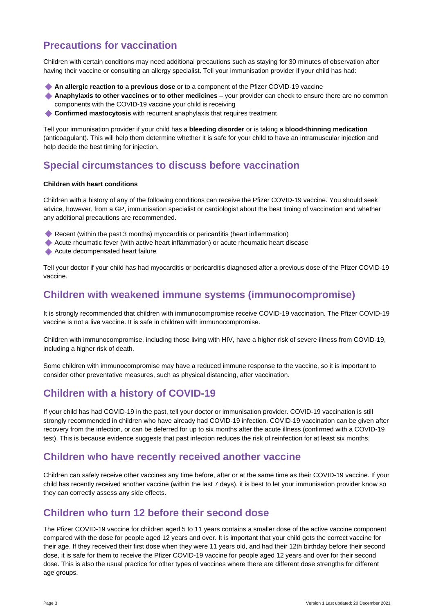# **Precautions for vaccination**

Children with certain conditions may need additional precautions such as staying for 30 minutes of observation after having their vaccine or consulting an allergy specialist. Tell your immunisation provider if your child has had:

- **An allergic reaction to a previous dose** or to a component of the Pfizer COVID-19 vaccine
- **Anaphylaxis to other vaccines or to other medicines** your provider can check to ensure there are no common components with the COVID-19 vaccine your child is receiving
- **Confirmed mastocytosis** with recurrent anaphylaxis that requires treatment

Tell your immunisation provider if your child has a **bleeding disorder** or is taking a **blood-thinning medication** (anticoagulant). This will help them determine whether it is safe for your child to have an intramuscular injection and help decide the best timing for injection.

### **Special circumstances to discuss before vaccination**

#### **Children with heart conditions**

Children with a history of any of the following conditions can receive the Pfizer COVID-19 vaccine. You should seek advice, however, from a GP, immunisation specialist or cardiologist about the best timing of vaccination and whether any additional precautions are recommended.

- Recent (within the past 3 months) myocarditis or pericarditis (heart inflammation)
- Acute rheumatic fever (with active heart inflammation) or acute rheumatic heart disease
- Acute decompensated heart failure

Tell your doctor if your child has had myocarditis or pericarditis diagnosed after a previous dose of the Pfizer COVID-19 vaccine.

#### **Children with weakened immune systems (immunocompromise)**

It is strongly recommended that children with immunocompromise receive COVID-19 vaccination. The Pfizer COVID-19 vaccine is not a live vaccine. It is safe in children with immunocompromise.

Children with immunocompromise, including those living with HIV, have a higher risk of severe illness from COVID-19, including a higher risk of death.

Some children with immunocompromise may have a reduced immune response to the vaccine, so it is important to consider other preventative measures, such as physical distancing, after vaccination.

### **Children with a history of COVID-19**

If your child has had COVID-19 in the past, tell your doctor or immunisation provider. COVID-19 vaccination is still strongly recommended in children who have already had COVID-19 infection. COVID-19 vaccination can be given after recovery from the infection, or can be deferred for up to six months after the acute illness (confirmed with a COVID-19 test). This is because evidence suggests that past infection reduces the risk of reinfection for at least six months.

### **Children who have recently received another vaccine**

Children can safely receive other vaccines any time before, after or at the same time as their COVID-19 vaccine. If your child has recently received another vaccine (within the last 7 days), it is best to let your immunisation provider know so they can correctly assess any side effects.

# **Children who turn 12 before their second dose**

The Pfizer COVID-19 vaccine for children aged 5 to 11 years contains a smaller dose of the active vaccine component compared with the dose for people aged 12 years and over. It is important that your child gets the correct vaccine for their age. If they received their first dose when they were 11 years old, and had their 12th birthday before their second dose, it is safe for them to receive the Pfizer COVID-19 vaccine for people aged 12 years and over for their second dose. This is also the usual practice for other types of vaccines where there are different dose strengths for different age groups.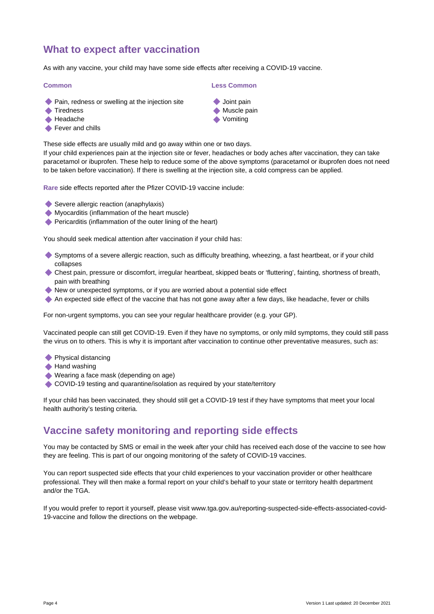# **What to expect after vaccination**

As with any vaccine, your child may have some side effects after receiving a COVID-19 vaccine.

#### **Common**

- ◆ Pain, redness or swelling at the injection site
- **◆ Tiredness**
- $\triangle$  Headache
- Fever and chills

#### **Less Common**

- **◆ Joint pain**
- **Muscle pain**
- **◆ Vomiting**

These side effects are usually mild and go away within one or two days. If your child experiences pain at the injection site or fever, headaches or body aches after vaccination, they can take paracetamol or ibuprofen. These help to reduce some of the above symptoms (paracetamol or ibuprofen does not need to be taken before vaccination). If there is swelling at the injection site, a cold compress can be applied.

**Rare** side effects reported after the Pfizer COVID-19 vaccine include:

- Severe allergic reaction (anaphylaxis)
- Myocarditis (inflammation of the heart muscle)
- Pericarditis (inflammation of the outer lining of the heart)

You should seek medical attention after vaccination if your child has:

- Symptoms of a severe allergic reaction, such as difficulty breathing, wheezing, a fast heartbeat, or if your child collapses
- Chest pain, pressure or discomfort, irregular heartbeat, skipped beats or 'fluttering', fainting, shortness of breath, pain with breathing
- New or unexpected symptoms, or if you are worried about a potential side effect
- An expected side effect of the vaccine that has not gone away after a few days, like headache, fever or chills

For non-urgent symptoms, you can see your regular healthcare provider (e.g. your GP).

Vaccinated people can still get COVID-19. Even if they have no symptoms, or only mild symptoms, they could still pass the virus on to others. This is why it is important after vaccination to continue other preventative measures, such as:

- **Physical distancing**
- $\triangle$  Hand washing
- Wearing a face mask (depending on age)
- COVID-19 testing and quarantine/isolation as required by your state/territory

If your child has been vaccinated, they should still get a COVID-19 test if they have symptoms that meet your local health authority's testing criteria.

### **Vaccine safety monitoring and reporting side effects**

You may be contacted by SMS or email in the week after your child has received each dose of the vaccine to see how they are feeling. This is part of our ongoing monitoring of the safety of COVID-19 vaccines.

You can report suspected side effects that your child experiences to your vaccination provider or other healthcare professional. They will then make a formal report on your child's behalf to your state or territory health department and/or the TGA.

If you would prefer to report it yourself, please visit www.tga.gov.au/reporting-suspected-side-effects-associated-covid-19-vaccine and follow the directions on the webpage.